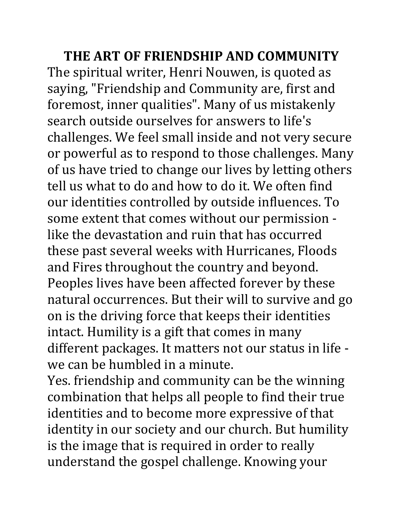**THE ART OF FRIENDSHIP AND COMMUNITY** The spiritual writer, Henri Nouwen, is quoted as saying, "Friendship and Community are, first and foremost, inner qualities". Many of us mistakenly search outside ourselves for answers to life's challenges. We feel small inside and not very secure or powerful as to respond to those challenges. Many of us have tried to change our lives by letting others tell us what to do and how to do it. We often find our identities controlled by outside influences. To some extent that comes without our permission like the devastation and ruin that has occurred these past several weeks with Hurricanes, Floods and Fires throughout the country and beyond. Peoples lives have been affected forever by these natural occurrences. But their will to survive and go on is the driving force that keeps their identities intact. Humility is a gift that comes in many different packages. It matters not our status in life we can be humbled in a minute.

Yes. friendship and community can be the winning combination that helps all people to find their true identities and to become more expressive of that identity in our society and our church. But humility is the image that is required in order to really understand the gospel challenge. Knowing your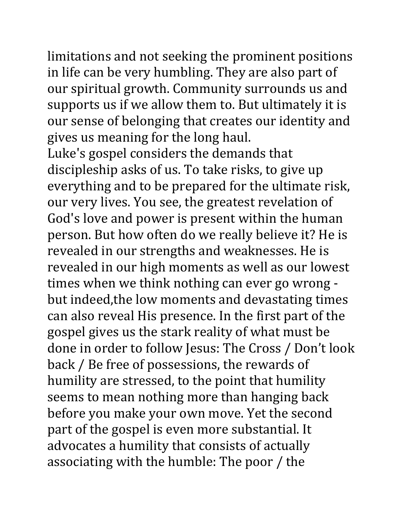limitations and not seeking the prominent positions in life can be very humbling. They are also part of our spiritual growth. Community surrounds us and supports us if we allow them to. But ultimately it is our sense of belonging that creates our identity and gives us meaning for the long haul.

Luke's gospel considers the demands that discipleship asks of us. To take risks, to give up everything and to be prepared for the ultimate risk, our very lives. You see, the greatest revelation of God's love and power is present within the human person. But how often do we really believe it? He is revealed in our strengths and weaknesses. He is revealed in our high moments as well as our lowest times when we think nothing can ever go wrong but indeed,the low moments and devastating times can also reveal His presence. In the first part of the gospel gives us the stark reality of what must be done in order to follow Jesus: The Cross / Don't look back / Be free of possessions, the rewards of humility are stressed, to the point that humility seems to mean nothing more than hanging back before you make your own move. Yet the second part of the gospel is even more substantial. It advocates a humility that consists of actually associating with the humble: The poor / the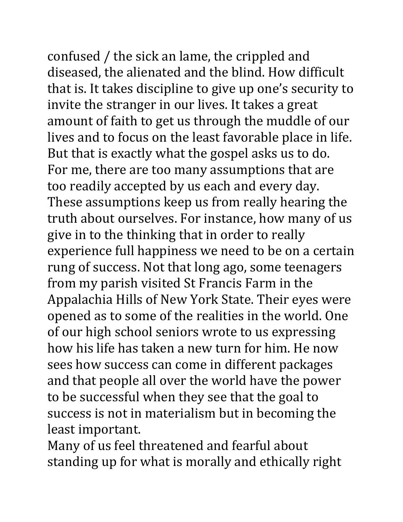confused / the sick an lame, the crippled and diseased, the alienated and the blind. How difficult that is. It takes discipline to give up one's security to invite the stranger in our lives. It takes a great amount of faith to get us through the muddle of our lives and to focus on the least favorable place in life. But that is exactly what the gospel asks us to do. For me, there are too many assumptions that are too readily accepted by us each and every day. These assumptions keep us from really hearing the truth about ourselves. For instance, how many of us give in to the thinking that in order to really experience full happiness we need to be on a certain rung of success. Not that long ago, some teenagers from my parish visited St Francis Farm in the Appalachia Hills of New York State. Their eyes were opened as to some of the realities in the world. One of our high school seniors wrote to us expressing how his life has taken a new turn for him. He now sees how success can come in different packages and that people all over the world have the power to be successful when they see that the goal to success is not in materialism but in becoming the least important.

Many of us feel threatened and fearful about standing up for what is morally and ethically right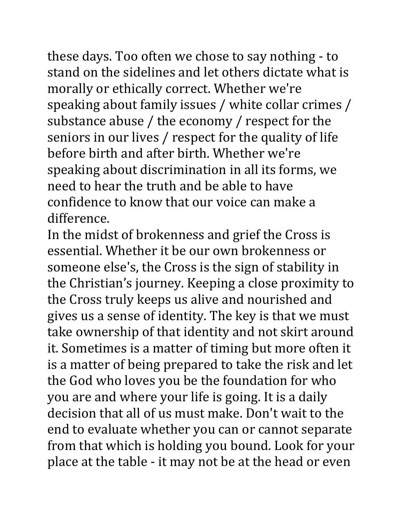these days. Too often we chose to say nothing - to stand on the sidelines and let others dictate what is morally or ethically correct. Whether we're speaking about family issues / white collar crimes / substance abuse / the economy / respect for the seniors in our lives / respect for the quality of life before birth and after birth. Whether we're speaking about discrimination in all its forms, we need to hear the truth and be able to have confidence to know that our voice can make a difference.

In the midst of brokenness and grief the Cross is essential. Whether it be our own brokenness or someone else's, the Cross is the sign of stability in the Christian's journey. Keeping a close proximity to the Cross truly keeps us alive and nourished and gives us a sense of identity. The key is that we must take ownership of that identity and not skirt around it. Sometimes is a matter of timing but more often it is a matter of being prepared to take the risk and let the God who loves you be the foundation for who you are and where your life is going. It is a daily decision that all of us must make. Don't wait to the end to evaluate whether you can or cannot separate from that which is holding you bound. Look for your place at the table - it may not be at the head or even